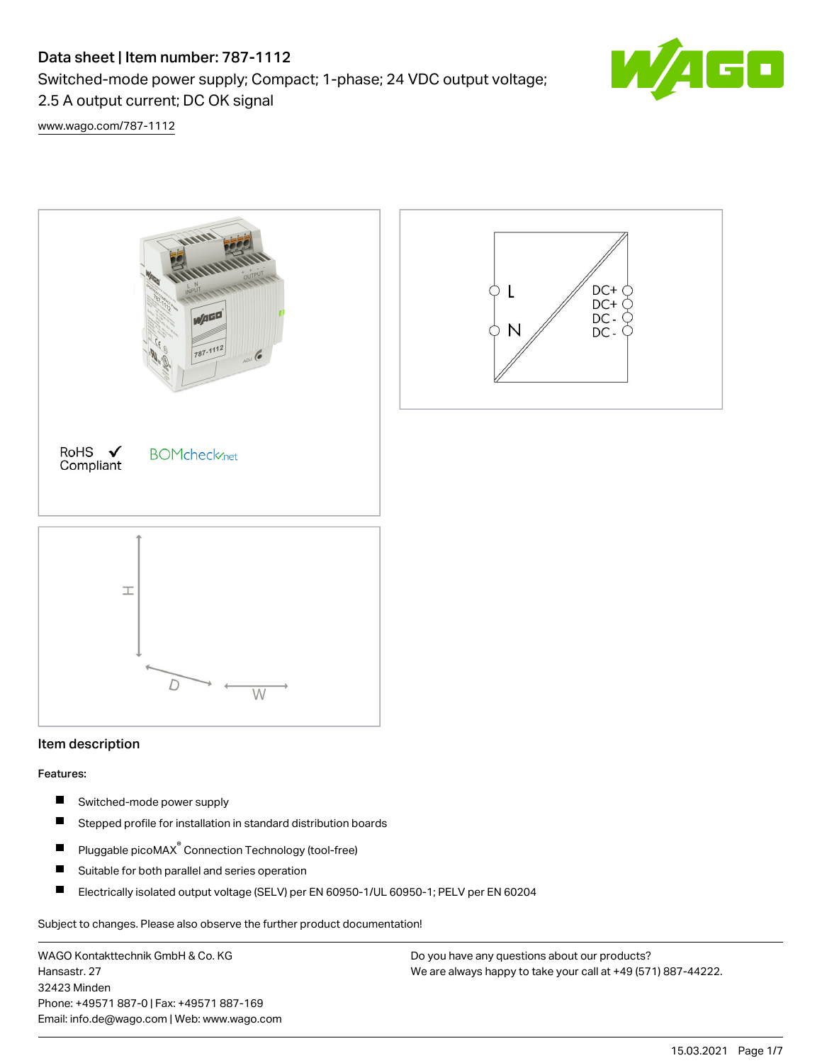## Data sheet | Item number: 787-1112

Switched-mode power supply; Compact; 1-phase; 24 VDC output voltage;

2.5 A output current; DC OK signal

[www.wago.com/787-1112](http://www.wago.com/787-1112)



## Item description

## Features:

- П Switched-mode power supply
- $\blacksquare$ Stepped profile for installation in standard distribution boards
- Pluggable picoMAX<sup>®</sup> Connection Technology (tool-free)  $\blacksquare$
- $\blacksquare$ Suitable for both parallel and series operation
- $\blacksquare$ Electrically isolated output voltage (SELV) per EN 60950-1/UL 60950-1; PELV per EN 60204

Subject to changes. Please also observe the further product documentation!

WAGO Kontakttechnik GmbH & Co. KG Hansastr. 27 32423 Minden Phone: +49571 887-0 | Fax: +49571 887-169 Email: info.de@wago.com | Web: www.wago.com

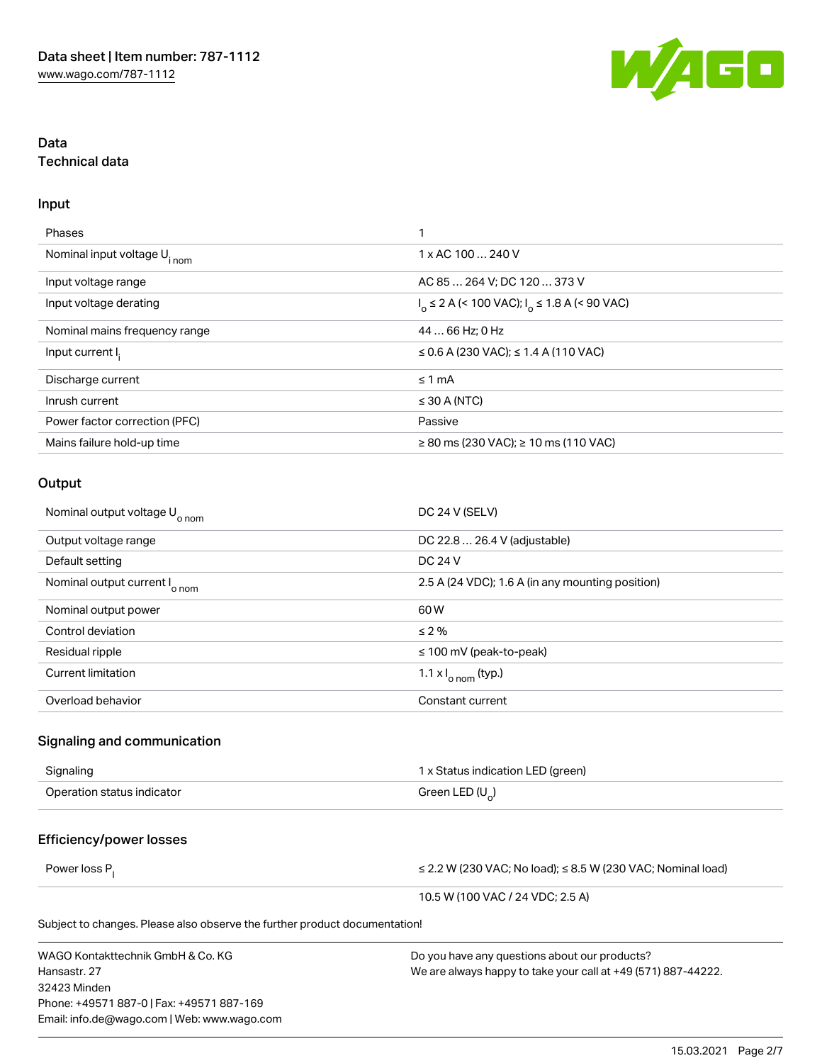

## Data Technical data

#### Input

| Phases                                  | 1                                                     |
|-----------------------------------------|-------------------------------------------------------|
| Nominal input voltage U <sub>inom</sub> | 1 x AC 100  240 V                                     |
| Input voltage range                     | AC 85  264 V: DC 120  373 V                           |
| Input voltage derating                  | $I_0 \le 2$ A (< 100 VAC); $I_0 \le 1.8$ A (< 90 VAC) |
| Nominal mains frequency range           | 44  66 Hz: 0 Hz                                       |
| Input current I.                        | $\leq$ 0.6 A (230 VAC); $\leq$ 1.4 A (110 VAC)        |
| Discharge current                       | $\leq 1$ mA                                           |
| Inrush current                          | $\leq$ 30 A (NTC)                                     |
| Power factor correction (PFC)           | Passive                                               |
| Mains failure hold-up time              | $≥ 80$ ms (230 VAC); $≥ 10$ ms (110 VAC)              |

## **Output**

| Nominal output voltage U <sub>onom</sub> | DC 24 V (SELV)                                   |
|------------------------------------------|--------------------------------------------------|
| Output voltage range                     | DC 22.8  26.4 V (adjustable)                     |
| Default setting                          | <b>DC 24 V</b>                                   |
| Nominal output current I <sub>onom</sub> | 2.5 A (24 VDC); 1.6 A (in any mounting position) |
| Nominal output power                     | 60W                                              |
| Control deviation                        | $\leq 2\%$                                       |
| Residual ripple                          | $\leq$ 100 mV (peak-to-peak)                     |
| <b>Current limitation</b>                | 1.1 $\times$ $\vert_{\text{o nom}}$ (typ.)       |
| Overload behavior                        | Constant current                                 |

## Signaling and communication

| Signaling                  | 1 x Status indication LED (green) |
|----------------------------|-----------------------------------|
| Operation status indicator | Green LED $(U_)$                  |

## Efficiency/power losses

Power loss P<sub>l</sub>

≤ 2.2 W (230 VAC; No load); ≤ 8.5 W (230 VAC; Nominal load)

10.5 W (100 VAC / 24 VDC; 2.5 A)

Subject to changes. Please also observe the further product documentation!

WAGO Kontakttechnik GmbH & Co. KG Hansastr. 27 32423 Minden Phone: +49571 887-0 | Fax: +49571 887-169 Email: info.de@wago.com | Web: www.wago.com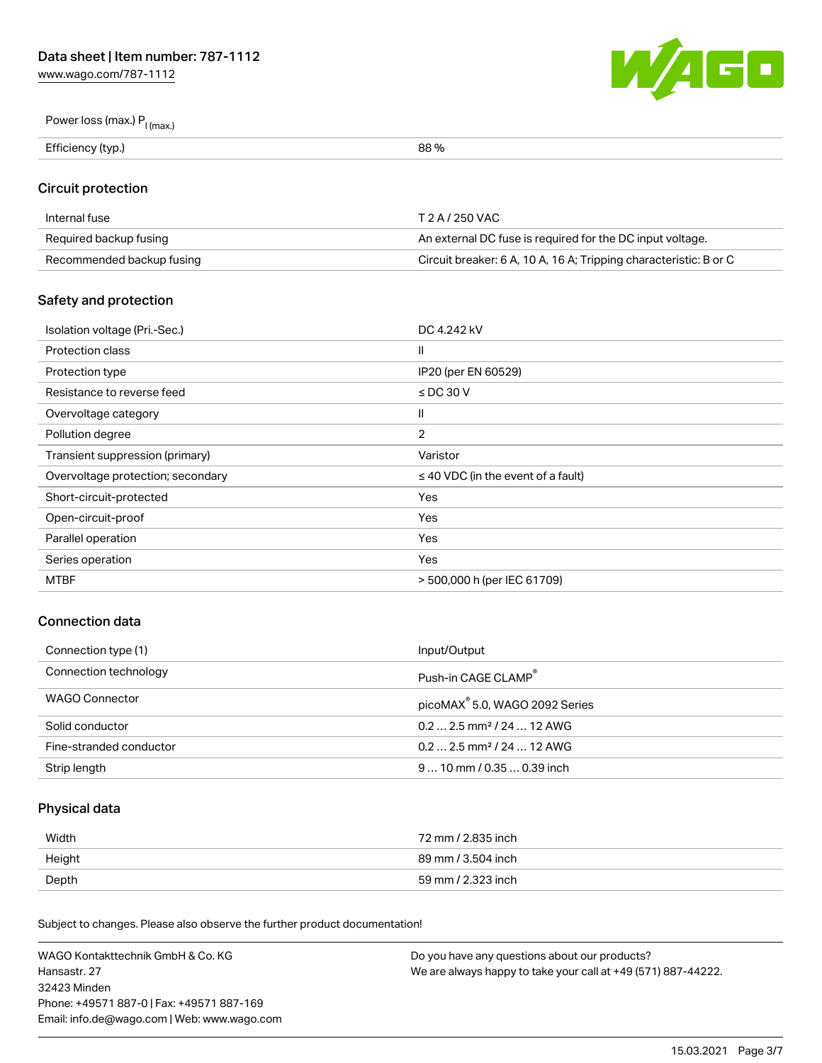[www.wago.com/787-1112](http://www.wago.com/787-1112)



# Power loss (max.)  $P_{l \text{ (max.)}}$

Efficiency (typ.) 88 %

## Circuit protection

| Internal fuse             | T 2 A / 250 VAC                                                   |
|---------------------------|-------------------------------------------------------------------|
| Required backup fusing    | An external DC fuse is required for the DC input voltage.         |
| Recommended backup fusing | Circuit breaker: 6 A, 10 A, 16 A; Tripping characteristic: B or C |

## Safety and protection

| Isolation voltage (Pri.-Sec.)     | DC 4.242 kV                             |
|-----------------------------------|-----------------------------------------|
| Protection class                  | $\mathbf{I}$                            |
| Protection type                   | IP20 (per EN 60529)                     |
| Resistance to reverse feed        | $\le$ DC 30 V                           |
| Overvoltage category              | $\mathsf{I}$                            |
| Pollution degree                  | $\overline{2}$                          |
| Transient suppression (primary)   | Varistor                                |
| Overvoltage protection; secondary | $\leq$ 40 VDC (in the event of a fault) |
| Short-circuit-protected           | Yes                                     |
| Open-circuit-proof                | Yes                                     |
| Parallel operation                | Yes                                     |
| Series operation                  | Yes                                     |
| MTBF                              | > 500,000 h (per IEC 61709)             |

## Connection data

| Connection type (1)     | Input/Output                               |
|-------------------------|--------------------------------------------|
| Connection technology   | Push-in CAGE CLAMP <sup>®</sup>            |
| WAGO Connector          | picoMAX <sup>®</sup> 5.0, WAGO 2092 Series |
| Solid conductor         | $0.22.5$ mm <sup>2</sup> / 24  12 AWG      |
| Fine-stranded conductor | $0.22.5$ mm <sup>2</sup> / 24  12 AWG      |
| Strip length            | $910$ mm $/0.350.39$ inch                  |

## Physical data

| Width  | 72 mm / 2.835 inch |
|--------|--------------------|
| Height | 89 mm / 3.504 inch |
| Depth  | 59 mm / 2.323 inch |

Subject to changes. Please also observe the further product documentation!

| WAGO Kontakttechnik GmbH & Co. KG           | Do you have any questions about our products?                 |
|---------------------------------------------|---------------------------------------------------------------|
| Hansastr. 27                                | We are always happy to take your call at +49 (571) 887-44222. |
| 32423 Minden                                |                                                               |
| Phone: +49571 887-0   Fax: +49571 887-169   |                                                               |
| Email: info.de@wago.com   Web: www.wago.com |                                                               |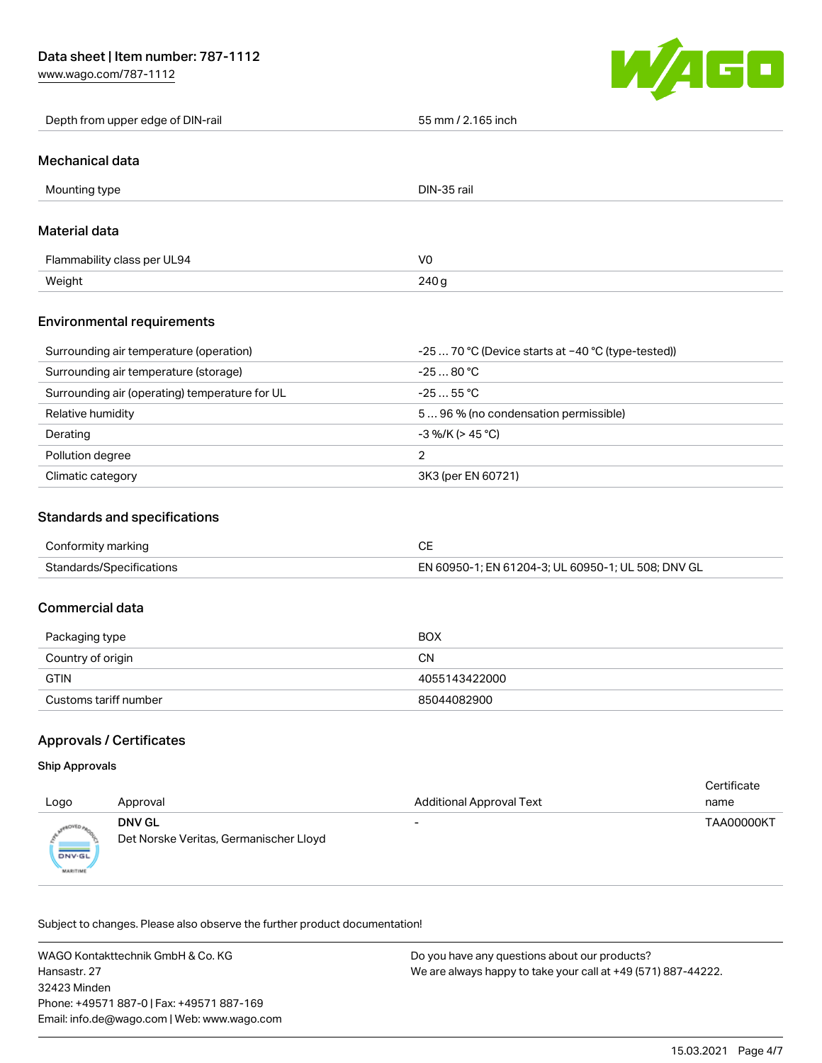[www.wago.com/787-1112](http://www.wago.com/787-1112)



| Depth from upper edge of DIN-rail | 55 mm / 2.165 inch |
|-----------------------------------|--------------------|
|                                   |                    |

#### Mechanical data

| Mounting type               | DIN-35 rail    |  |
|-----------------------------|----------------|--|
| Material data               |                |  |
| Flammability class per UL94 | V <sub>0</sub> |  |
| Weight                      | 240 g          |  |

#### Environmental requirements

| Surrounding air temperature (operation)        | $-2570$ °C (Device starts at $-40$ °C (type-tested)) |
|------------------------------------------------|------------------------------------------------------|
| Surrounding air temperature (storage)          | $-2580 °C$                                           |
| Surrounding air (operating) temperature for UL | $-2555$ °C                                           |
| Relative humidity                              | 596 % (no condensation permissible)                  |
| Derating                                       | -3 %/K (> 45 °C)                                     |
| Pollution degree                               |                                                      |
| Climatic category                              | 3K3 (per EN 60721)                                   |

## Standards and specifications

| Conformity marking              |                                                    |
|---------------------------------|----------------------------------------------------|
| <b>Standards/Specifications</b> | EN 60950-1; EN 61204-3; UL 60950-1; UL 508; DNV GL |

## Commercial data

| Packaging type        | <b>BOX</b>    |
|-----------------------|---------------|
| Country of origin     | CΝ            |
| <b>GTIN</b>           | 4055143422000 |
| Customs tariff number | 85044082900   |

## Approvals / Certificates

#### Ship Approvals

| Logo                             | Approval                                                | <b>Additional Approval Text</b> | Certificate<br>name |
|----------------------------------|---------------------------------------------------------|---------------------------------|---------------------|
| <b>DNV-GL</b><br><b>MARITIME</b> | <b>DNV GL</b><br>Det Norske Veritas, Germanischer Lloyd | $\overline{\phantom{0}}$        | <b>TAA00000KT</b>   |

Subject to changes. Please also observe the further product documentation!

WAGO Kontakttechnik GmbH & Co. KG Hansastr. 27 32423 Minden Phone: +49571 887-0 | Fax: +49571 887-169 Email: info.de@wago.com | Web: www.wago.com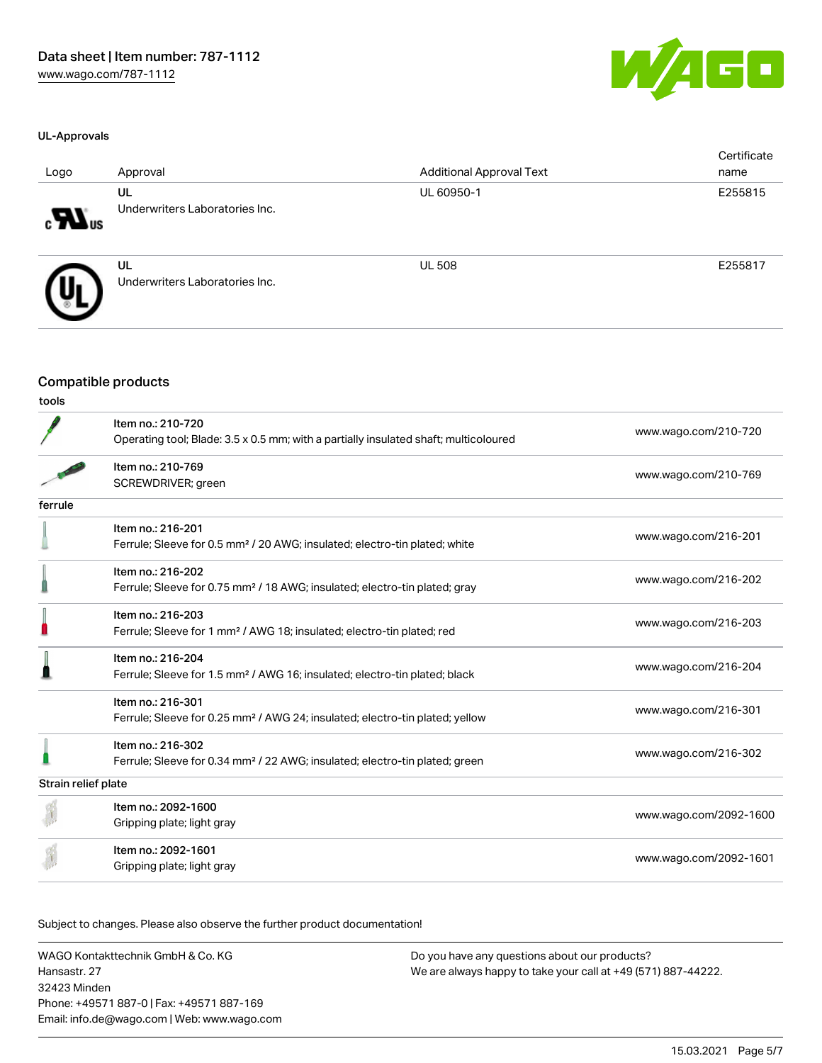

#### UL-Approvals

| Logo                                     | Approval                             | <b>Additional Approval Text</b> | Certificate<br>name |
|------------------------------------------|--------------------------------------|---------------------------------|---------------------|
| $\boldsymbol{\mathcal{H}}$ <sup>ns</sup> | UL<br>Underwriters Laboratories Inc. | UL 60950-1                      | E255815             |
|                                          | UL<br>Underwriters Laboratories Inc. | <b>UL 508</b>                   | E255817             |

#### Compatible products

| tools               |                                                                                                               |                        |
|---------------------|---------------------------------------------------------------------------------------------------------------|------------------------|
|                     | Item no.: 210-720<br>Operating tool; Blade: 3.5 x 0.5 mm; with a partially insulated shaft; multicoloured     | www.wago.com/210-720   |
|                     | Item no.: 210-769<br>SCREWDRIVER; green                                                                       | www.wago.com/210-769   |
| ferrule             |                                                                                                               |                        |
|                     | Item no.: 216-201<br>Ferrule; Sleeve for 0.5 mm <sup>2</sup> / 20 AWG; insulated; electro-tin plated; white   | www.wago.com/216-201   |
|                     | Item no.: 216-202<br>Ferrule; Sleeve for 0.75 mm <sup>2</sup> / 18 AWG; insulated; electro-tin plated; gray   | www.wago.com/216-202   |
|                     | Item no.: 216-203<br>Ferrule; Sleeve for 1 mm <sup>2</sup> / AWG 18; insulated; electro-tin plated; red       | www.wago.com/216-203   |
|                     | Item no.: 216-204<br>Ferrule; Sleeve for 1.5 mm <sup>2</sup> / AWG 16; insulated; electro-tin plated; black   | www.wago.com/216-204   |
|                     | Item no.: 216-301<br>Ferrule; Sleeve for 0.25 mm <sup>2</sup> / AWG 24; insulated; electro-tin plated; yellow | www.wago.com/216-301   |
|                     | Item no.: 216-302<br>Ferrule; Sleeve for 0.34 mm <sup>2</sup> / 22 AWG; insulated; electro-tin plated; green  | www.wago.com/216-302   |
| Strain relief plate |                                                                                                               |                        |
|                     | Item no.: 2092-1600<br>Gripping plate; light gray                                                             | www.wago.com/2092-1600 |
|                     | Item no.: 2092-1601<br>Gripping plate; light gray                                                             | www.wago.com/2092-1601 |

Subject to changes. Please also observe the further product documentation!

WAGO Kontakttechnik GmbH & Co. KG Hansastr. 27 32423 Minden Phone: +49571 887-0 | Fax: +49571 887-169 Email: info.de@wago.com | Web: www.wago.com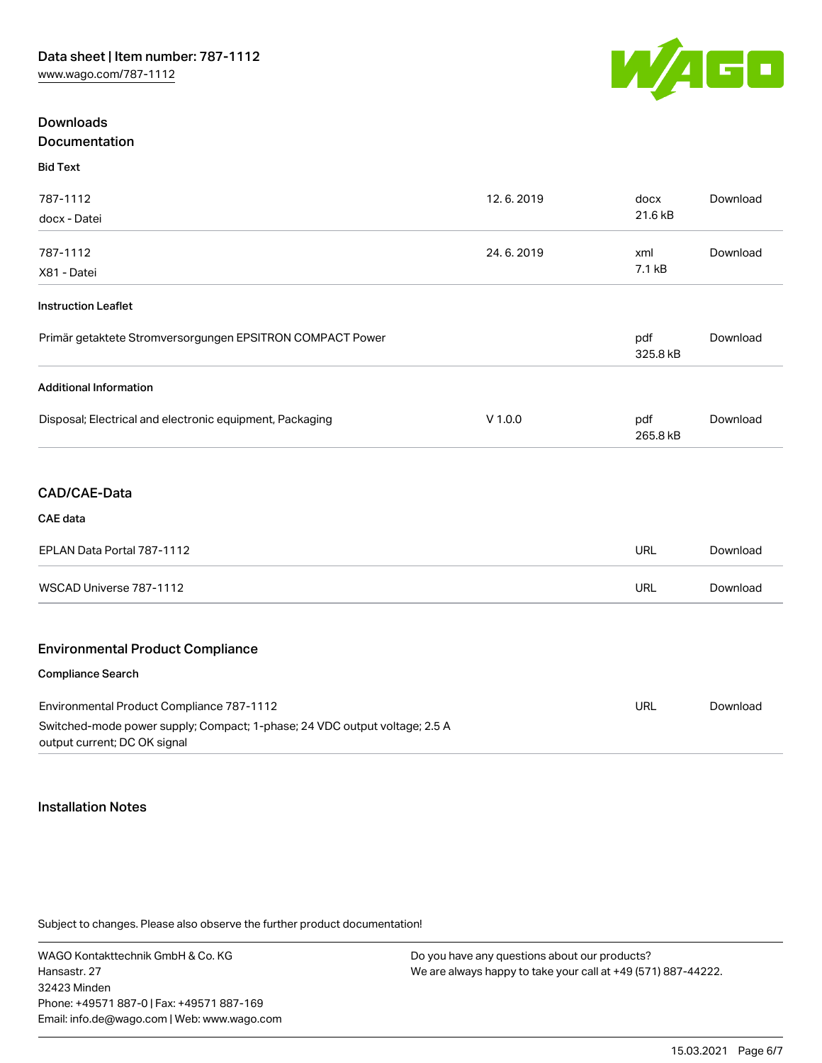WAGO

## Downloads Documentation

| <b>Bid Text</b>                                                                                            |           |                 |          |
|------------------------------------------------------------------------------------------------------------|-----------|-----------------|----------|
| 787-1112                                                                                                   | 12.6.2019 | docx            | Download |
| docx - Datei                                                                                               |           | 21.6 kB         |          |
| 787-1112                                                                                                   | 24.6.2019 | xml             | Download |
| X81 - Datei                                                                                                |           | 7.1 kB          |          |
| <b>Instruction Leaflet</b>                                                                                 |           |                 |          |
| Primär getaktete Stromversorgungen EPSITRON COMPACT Power                                                  |           | pdf<br>325.8 kB | Download |
| <b>Additional Information</b>                                                                              |           |                 |          |
| Disposal; Electrical and electronic equipment, Packaging                                                   | $V$ 1.0.0 | pdf<br>265.8 kB | Download |
| CAD/CAE-Data                                                                                               |           |                 |          |
| CAE data                                                                                                   |           |                 |          |
| EPLAN Data Portal 787-1112                                                                                 |           | <b>URL</b>      | Download |
| WSCAD Universe 787-1112                                                                                    |           | <b>URL</b>      | Download |
| <b>Environmental Product Compliance</b>                                                                    |           |                 |          |
| <b>Compliance Search</b>                                                                                   |           |                 |          |
| Environmental Product Compliance 787-1112                                                                  |           | URL             | Download |
| Switched-mode power supply; Compact; 1-phase; 24 VDC output voltage; 2.5 A<br>output current; DC OK signal |           |                 |          |

## Installation Notes

Subject to changes. Please also observe the further product documentation!

WAGO Kontakttechnik GmbH & Co. KG Hansastr. 27 32423 Minden Phone: +49571 887-0 | Fax: +49571 887-169 Email: info.de@wago.com | Web: www.wago.com